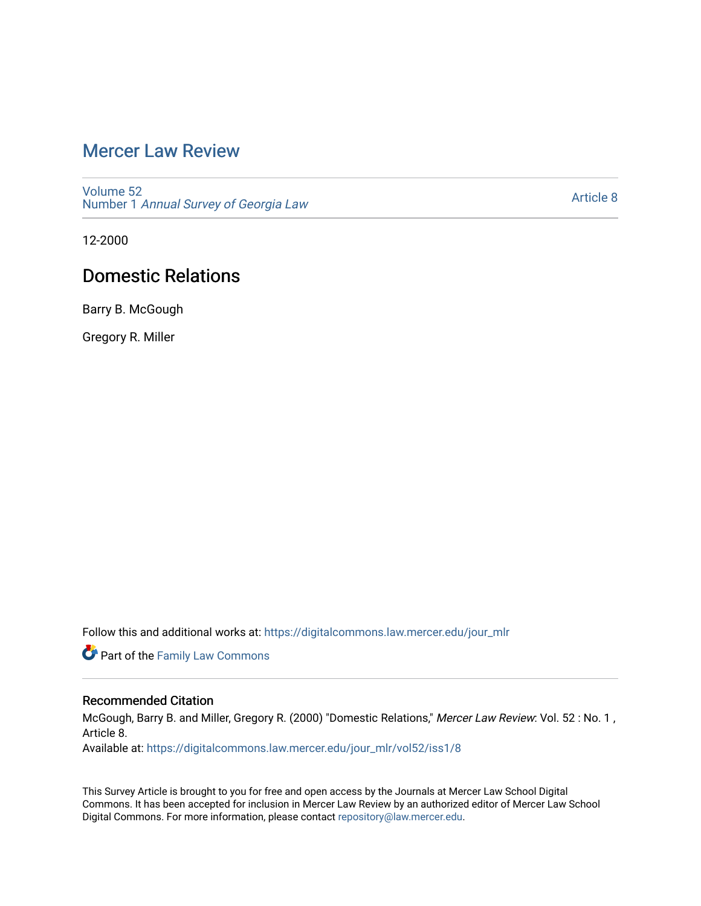## [Mercer Law Review](https://digitalcommons.law.mercer.edu/jour_mlr)

[Volume 52](https://digitalcommons.law.mercer.edu/jour_mlr/vol52) Number 1 [Annual Survey of Georgia Law](https://digitalcommons.law.mercer.edu/jour_mlr/vol52/iss1) 

[Article 8](https://digitalcommons.law.mercer.edu/jour_mlr/vol52/iss1/8) 

12-2000

## Domestic Relations

Barry B. McGough

Gregory R. Miller

Follow this and additional works at: [https://digitalcommons.law.mercer.edu/jour\\_mlr](https://digitalcommons.law.mercer.edu/jour_mlr?utm_source=digitalcommons.law.mercer.edu%2Fjour_mlr%2Fvol52%2Fiss1%2F8&utm_medium=PDF&utm_campaign=PDFCoverPages)

**Part of the Family Law Commons** 

### Recommended Citation

McGough, Barry B. and Miller, Gregory R. (2000) "Domestic Relations," Mercer Law Review: Vol. 52 : No. 1 , Article 8.

Available at: [https://digitalcommons.law.mercer.edu/jour\\_mlr/vol52/iss1/8](https://digitalcommons.law.mercer.edu/jour_mlr/vol52/iss1/8?utm_source=digitalcommons.law.mercer.edu%2Fjour_mlr%2Fvol52%2Fiss1%2F8&utm_medium=PDF&utm_campaign=PDFCoverPages)

This Survey Article is brought to you for free and open access by the Journals at Mercer Law School Digital Commons. It has been accepted for inclusion in Mercer Law Review by an authorized editor of Mercer Law School Digital Commons. For more information, please contact [repository@law.mercer.edu](mailto:repository@law.mercer.edu).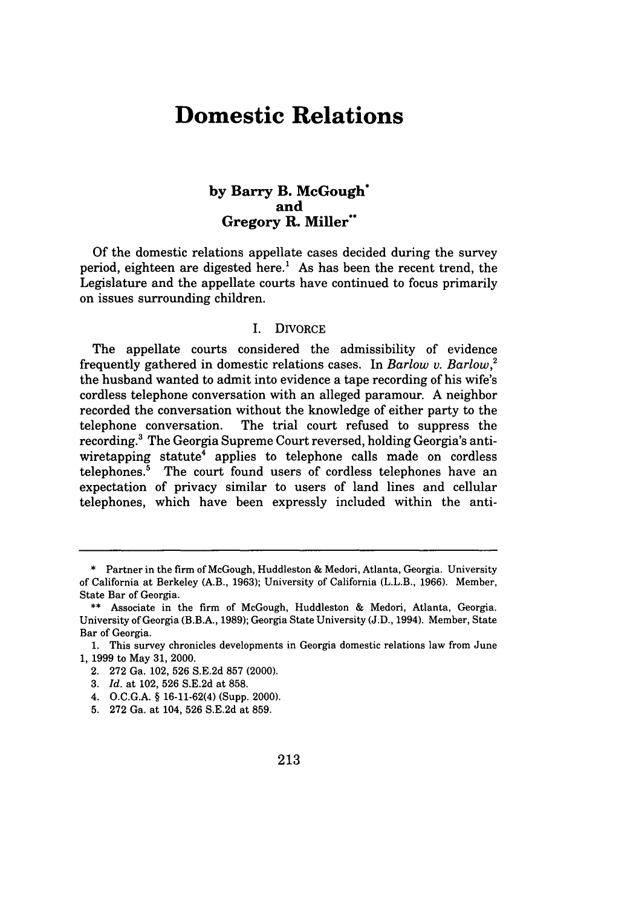# **Domestic Relations**

### **by Barry B. McGough\* and Gregory R. Miller\*\***

**Of** the domestic relations appellate cases decided during the survey period, eighteen are digested here.' As has been the recent trend, the Legislature and the appellate courts have continued to focus primarily on issues surrounding children.

#### I. DIVORCE

The appellate courts considered the admissibility of evidence frequently gathered in domestic relations cases. In *Barlow v. Barlow,2* the husband wanted to admit into evidence a tape recording of his wife's cordless telephone conversation with an alleged paramour. A neighbor recorded the conversation without the knowledge of either party to the telephone conversation. The trial court refused to suppress the recording.' The Georgia Supreme Court reversed, holding Georgia's antiwiretapping statute<sup>4</sup> applies to telephone calls made on cordless telephones.5 The court found users of cordless telephones have an expectation of privacy similar to users of land lines and cellular telephones, which have been expressly included within the anti-

- 4. O.C.G.A. § 16-11-62(4) (Supp. 2000).
- 5. 272 Ga. at 104, 526 S.E.2d at 859.

<sup>\*</sup> Partner in the firm of McGough, Huddleston & Medori, Atlanta, Georgia. University of California at Berkeley (A.B., 1963); University of California (L.L.B., 1966). Member, State Bar of Georgia.

<sup>\*\*</sup> Associate in the firm of McGough, Huddleston & Medori, Atlanta, Georgia. University of Georgia (B.B.A., 1989); Georgia State University (J.D., 1994). Member, State Bar of Georgia.

<sup>1.</sup> This survey chronicles developments in Georgia domestic relations law from June 1, 1999 to May 31, 2000.

<sup>2. 272</sup> Ga. 102, 526 S.E.2d 857 (2000).

<sup>3.</sup> *Id.* at 102, 526 S.E.2d at 858.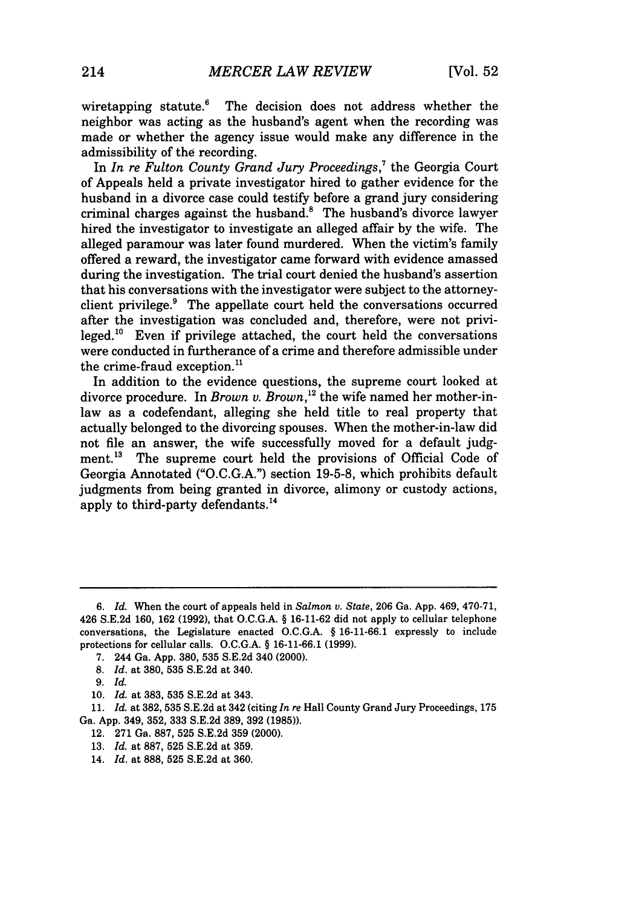wiretapping statute.<sup>6</sup> The decision does not address whether the neighbor was acting as the husband's agent when the recording was made or whether the agency issue would make any difference in the admissibility of the recording.

In *In re Fulton County Grand Jury Proceedings*,<sup>7</sup> the Georgia Court of Appeals held a private investigator hired to gather evidence for the husband in a divorce case could testify before a grand jury considering criminal charges against the husband.8 The husband's divorce lawyer hired the investigator to investigate an alleged affair by the wife. The alleged paramour was later found murdered. When the victim's family offered a reward, the investigator came forward with evidence amassed during the investigation. The trial court denied the husband's assertion that his conversations with the investigator were subject to the attorneyclient privilege.<sup>9</sup> The appellate court held the conversations occurred after the investigation was concluded and, therefore, were not privileged.<sup>10</sup> Even if privilege attached, the court held the conversations were conducted in furtherance of a crime and therefore admissible under the crime-fraud exception.<sup>11</sup>

In addition to the evidence questions, the supreme court looked at divorce procedure. In *Brown v. Brown*,<sup>12</sup> the wife named her mother-inlaw as a codefendant, alleging she held title to real property that actually belonged to the divorcing spouses. When the mother-in-law did not file an answer, the wife successfully moved for a default judgment.<sup>13</sup> The supreme court held the provisions of Official Code of Georgia Annotated ("O.C.G.A.") section 19-5-8, which prohibits default judgments from being granted in divorce, alimony or custody actions, apply to third-party defendants.<sup>14</sup>

- 12. 271 Ga. 887, 525 S.E.2d 359 (2000).
- 13. *Id.* at 887, 525 S.E.2d at 359.

*<sup>6.</sup> Id.* When the court of appeals held in *Salmon v. State,* 206 Ga. App. 469, 470-71, 426 S.E.2d 160, 162 (1992), that O.C.G.A. § 16-11-62 did not apply to cellular telephone conversations, the Legislature enacted O.C.G.A. § 16-11-66.1 expressly to include protections for cellular calls. O.C.G.A. § 16-11-66.1 (1999).

<sup>7. 244</sup> Ga. App. 380, 535 S.E.2d 340 (2000).

<sup>8.</sup> *Id.* at 380, 535 S.E.2d at 340.

<sup>9.</sup> *Id.*

<sup>10.</sup> *Id.* at 383, 535 S.E.2d at 343.

<sup>11.</sup> *Id.* at 382, 535 S.E.2d at 342 (citing *In re* Hall County Grand Jury Proceedings, 175 Ga. App. 349, 352, 333 S.E.2d 389, 392 (1985)).

<sup>14.</sup> *Id.* at 888, **525** S.E.2d at 360.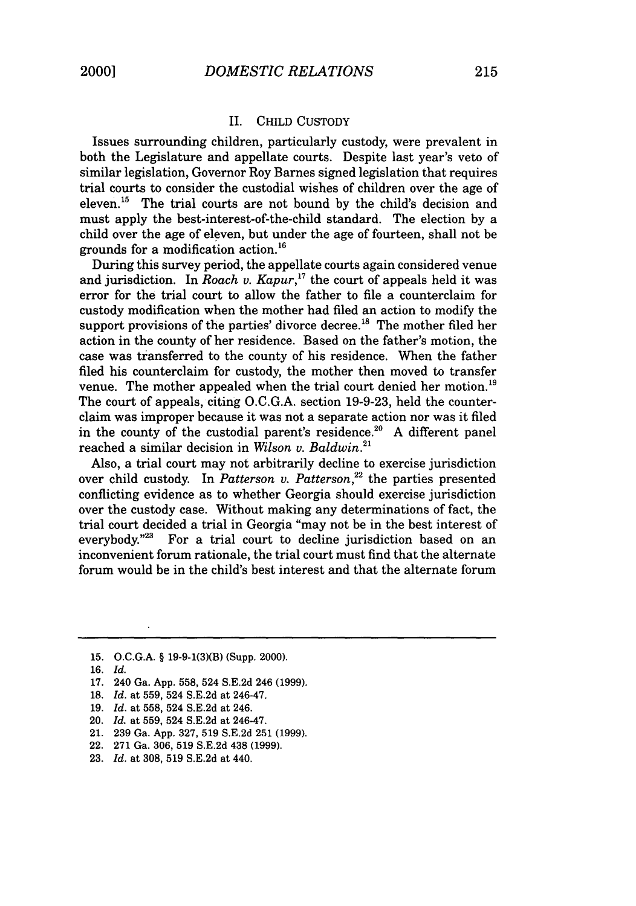#### II. CHILD CUSTODY

Issues surrounding children, particularly custody, were prevalent in both the Legislature and appellate courts. Despite last year's veto of similar legislation, Governor Roy Barnes signed legislation that requires trial courts to consider the custodial wishes of children over the age of eleven.<sup>15</sup> The trial courts are not bound by the child's decision and must apply the best-interest-of-the-child standard. The election by a child over the age of eleven, but under the age of fourteen, shall not be grounds for a modification action. <sup>16</sup>

During this survey period, the appellate courts again considered venue and jurisdiction. In *Roach v. Kapur*,<sup>17</sup> the court of appeals held it was error for the trial court to allow the father to file a counterclaim for custody modification when the mother had filed an action to modify the support provisions of the parties' divorce decree.<sup>18</sup> The mother filed her action in the county of her residence. Based on the father's motion, the case was transferred to the county of his residence. When the father filed his counterclaim for custody, the mother then moved to transfer venue. The mother appealed when the trial court denied her motion.<sup>19</sup> The court of appeals, citing O.C.G.A. section 19-9-23, held the counterclaim was improper because it was not a separate action nor was it filed in the county of the custodial parent's residence.<sup>20</sup> A different panel reached a similar decision in *Wilson v. Baldwin.2'*

Also, a trial court may not arbitrarily decline to exercise jurisdiction over child custody. In *Patterson v. Patterson*,<sup>22</sup> the parties presented conflicting evidence as to whether Georgia should exercise jurisdiction over the custody case. Without making any determinations of fact, the trial court decided a trial in Georgia "may not be in the best interest of everybody."<sup>23</sup> For a trial court to decline jurisdiction based on an For a trial court to decline jurisdiction based on an inconvenient forum rationale, the trial court must find that the alternate forum would be in the child's best interest and that the alternate forum

- 18. *Id.* at 559, 524 S.E.2d at 246-47.
- 19. *Id.* at 558, 524 S.E.2d at 246.
- 20. *Id.* at 559, 524 S.E.2d at 246-47.
- 21. 239 Ga. App. 327, 519 S.E.2d 251 (1999).
- 22. 271 Ga. 306, 519 S.E.2d 438 (1999).
- 23. *Id.* at 308, 519 S.E.2d at 440.

<sup>15.</sup> O.C.G.A. § 19-9-1(3)(B) (Supp. 2000).

<sup>16.</sup> *Id.*

<sup>17. 240</sup> Ga. App. 558, 524 S.E.2d 246 (1999).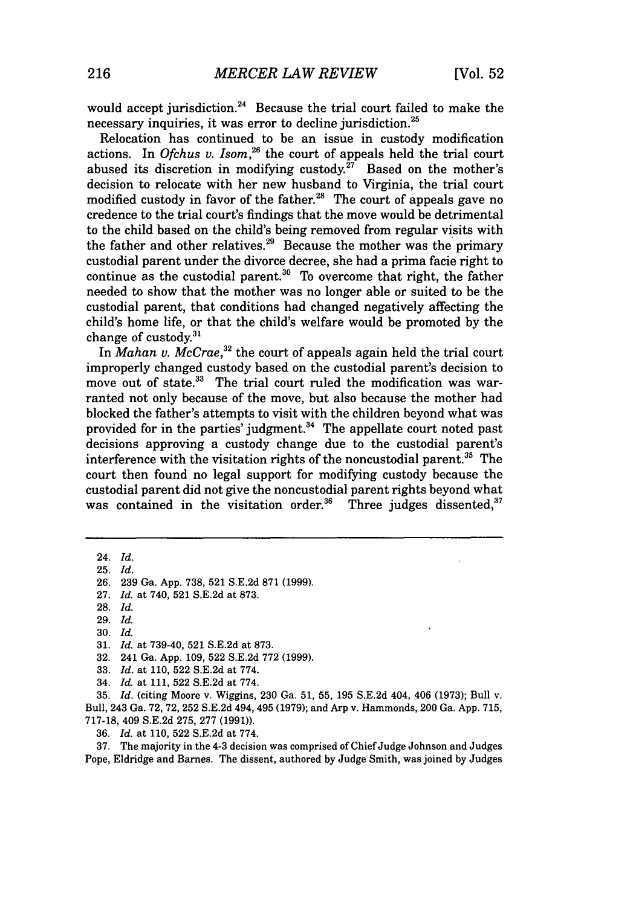would accept jurisdiction.<sup>24</sup> Because the trial court failed to make the necessary inquiries, it was error to decline jurisdiction.<sup>25</sup>

Relocation has continued to be an issue in custody modification actions. In *Ofchus v. Isom,26* the court of appeals held the trial court abused its discretion in modifying custody.<sup>27</sup> Based on the mother's decision to relocate with her new husband to Virginia, the trial court modified custody in favor of the father.<sup>28</sup> The court of appeals gave no credence to the trial court's findings that the move would be detrimental to the child based on the child's being removed from regular visits with the father and other relatives.<sup>29</sup> Because the mother was the primary custodial parent under the divorce decree, she had a prima facie right to continue as the custodial parent.<sup>30</sup> To overcome that right, the father needed to show that the mother was no longer able or suited to be the custodial parent, that conditions had changed negatively affecting the child's home life, or that the child's welfare would be promoted by the change of custody. $31$ 

In *Mahan v. McCrae,"2* the court of appeals again held the trial court improperly changed custody based on the custodial parent's decision to move out of state.<sup>33</sup> The trial court ruled the modification was warranted not only because of the move, but also because the mother had blocked the father's attempts to visit with the children beyond what was provided for in the parties' judgment. $34$  The appellate court noted past decisions approving a custody change due to the custodial parent's interference with the visitation rights of the noncustodial parent.<sup>35</sup> The court then found no legal support for modifying custody because the custodial parent did not give the noncustodial parent rights beyond what was contained in the visitation order.<sup>36</sup> Three judges dissented,<sup>37</sup>

24. *Id.*

25. *Id.*

26. 239 Ga. App. 738, 521 S.E.2d 871 (1999).

27. *Id.* at 740, 521 S.E.2d at 873.

29. *Id.*

30. *Id.*

- 32. 241 Ga. App. 109, 522 S.E.2d 772 (1999).
- 33. *Id.* at 110, 522 S.E.2d at 774.
- 34. *Id.* at 111, 522 S.E.2d at 774.

35. *Id.* (citing Moore v. Wiggins, 230 Ga. 51, 55, 195 S.E.2d 404, 406 (1973); Bull v. Bull, 243 Ga. 72, 72, 252 S.E.2d 494, 495 (1979); and Arp v. Hammonds, 200 Ga. App. 715, 717-18, 409 S.E.2d 275, 277 (1991)).

36. *Id.* at 110, 522 S.E.2d at 774.

37. The majority in the 4-3 decision was comprised of Chief Judge Johnson and Judges Pope, Eldridge and Barnes. The dissent, authored by Judge Smith, was joined by Judges

<sup>28.</sup> *Id.*

<sup>31.</sup> *Id.* at 739-40, 521 S.E.2d at 873.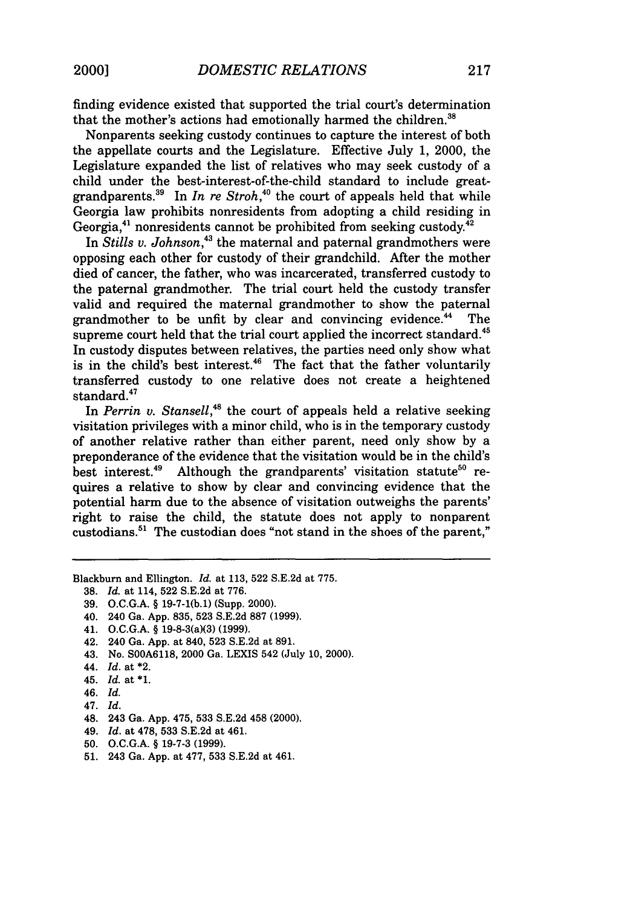finding evidence existed that supported the trial court's determination that the mother's actions had emotionally harmed the children.<sup>38</sup>

Nonparents seeking custody continues to capture the interest of both the appellate courts and the Legislature. Effective July 1, 2000, the Legislature expanded the list of relatives who may seek custody of a child under the best-interest-of-the-child standard to include greatgrandparents.<sup>39</sup> In *In re Stroh*,<sup>40</sup> the court of appeals held that while Georgia law prohibits nonresidents from adopting a child residing in Georgia, $41$  nonresidents cannot be prohibited from seeking custody. $42$ 

In *Stills* v. *Johnson,43* the maternal and paternal grandmothers were opposing each other for custody of their grandchild. After the mother died of cancer, the father, who was incarcerated, transferred custody to the paternal grandmother. The trial court held the custody transfer valid and required the maternal grandmother to show the paternal grandmother to be unfit by clear and convincing evidence.<sup>44</sup> The supreme court held that the trial court applied the incorrect standard.<sup>45</sup> In custody disputes between relatives, the parties need only show what is in the child's best interest.<sup>46</sup> The fact that the father voluntarily transferred custody to one relative does not create a heightened standard.<sup>47</sup>

In *Perrin v. Stansell*,<sup>48</sup> the court of appeals held a relative seeking visitation privileges with a minor child, who is in the temporary custody of another relative rather than either parent, need only show by a preponderance of the evidence that the visitation would be in the child's best interest.<sup>49</sup> Although the grandparents' visitation statute<sup>50</sup> re-Although the grandparents' visitation statute<sup>50</sup> requires a relative to show by clear and convincing evidence that the potential harm due to the absence of visitation outweighs the parents' right to raise the child, the statute does not apply to nonparent custodians.<sup>51</sup> The custodian does "not stand in the shoes of the parent,"

Blackburn and Ellington. *Id.* at 113, 522 S.E.2d at 775.

- 38. *Id.* at 114, 522 S.E.2d at 776.
- 39. O.C.G.A. § 19-7-1(b.1) (Supp. 2000).
- 40. 240 Ga. App. 835, 523 S.E.2d 887 (1999).
- 41. O.C.G.A. § 19-8-3(a)(3) (1999).
- 42. 240 Ga. App. at 840, 523 S.E.2d at 891.
- 43. No. S00A6118, 2000 Ga. LEXIS 542 (July **10,** 2000).
- 44. *Id.* at \*2.
- 45. *Id.* at **\*1.**
- 46. Id.
- 47. Id.
- 48. 243 Ga. App. 475, 533 S.E.2d 458 (2000).
- 49. *Id.* at 478, 533 S.E.2d at 461.
- 50. O.C.G.A. § 19-7-3 (1999).
- 51. 243 Ga. App. at 477, 533 S.E.2d at 461.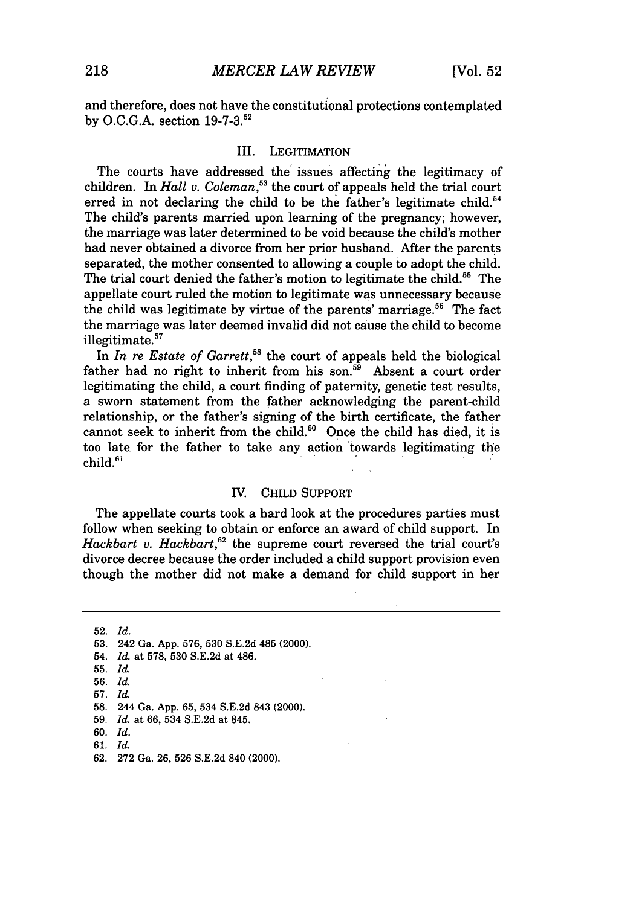and therefore, does not have the constitutional protections contemplated by O.C.G.A. section 19-7-3.52

#### III. LEGITIMATION

The courts have addressed the issues affecting the legitimacy of children. In *Hall v. Coleman*,<sup>53</sup> the court of appeals held the trial court erred in not declaring the child to be the father's legitimate child.<sup>54</sup> The child's parents married upon learning of the pregnancy; however, the marriage was later determined to be void because the child's mother had never obtained a divorce from her prior husband. After the parents separated, the mother consented to allowing a couple to adopt the child. The trial court denied the father's motion to legitimate the child.<sup>55</sup> The appellate court ruled the motion to legitimate was unnecessary because the child was legitimate by virtue of the parents' marriage.<sup>56</sup> The fact the marriage was later deemed invalid did not cause the child to become illegitimate.<sup>57</sup>

In *In re Estate of Garrett*,<sup>58</sup> the court of appeals held the biological father had no right to inherit from his son.<sup>59</sup> Absent a court order legitimating the child, a court finding of paternity, genetic test results, a sworn statement from the father acknowledging the parent-child relationship, or the father's signing of the birth certificate, the father cannot seek to inherit from the child. $60$  Once the child has died, it is too late for the father to take any action 'towards legitimating the  $child<sup>61</sup>$ 

#### IV. CHILD SUPPORT

The appellate courts took a hard look at the procedures parties must follow when seeking to obtain or enforce an award of child support. In Hackbart v. Hackbart,<sup>62</sup> the supreme court reversed the trial court's divorce decree because the order included a child support provision even though the mother did not make a demand for child support in her

52. *Id.* 53. 242 Ga. App. 576, 530 S.E.2d 485 (2000). 54. *Id.* at 578, 530 S.E.2d at 486. 55. *Id.* 56. *Id.* 57. *Id.*

- 59. *Id.* at 66, 534 S.E.2d at 845.
- 60. *Id.*
- 61. *Id.*
- 62. 272 Ga. 26, 526 S.E.2d 840 (2000).

<sup>58. 244</sup> Ga. App. 65, 534 S.E.2d 843 (2000).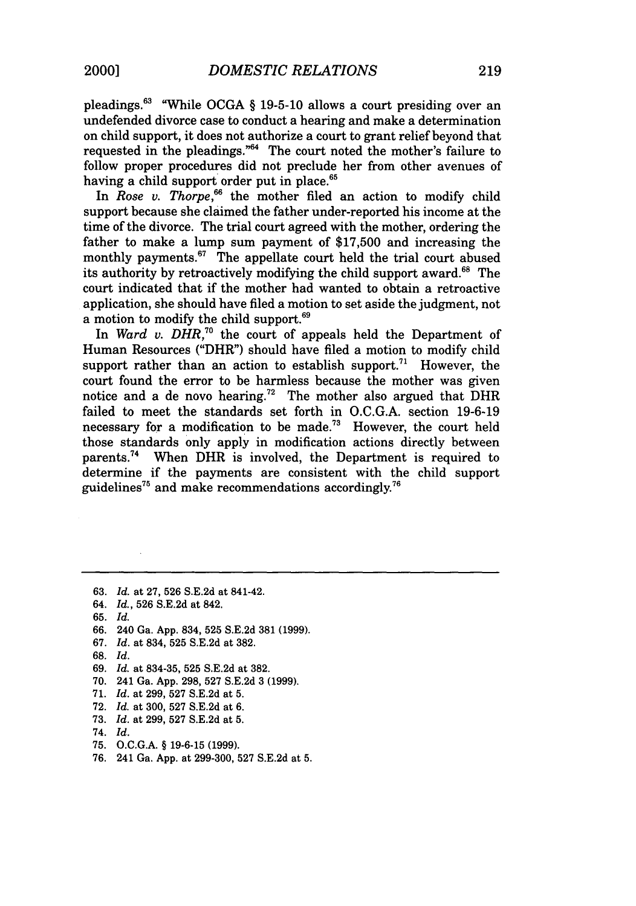pleadings.<sup>63</sup> "While OCGA § 19-5-10 allows a court presiding over an undefended divorce case to conduct a hearing and make a determination on child support, it does not authorize a court to grant relief beyond that requested in the pleadings." $64$  The court noted the mother's failure to follow proper procedures did not preclude her from other avenues of having a child support order put in place.<sup>65</sup>

In *Rose v. Thorpe*,<sup>66</sup> the mother filed an action to modify child support because she claimed the father under-reported his income at the time of the divorce. The trial court agreed with the mother, ordering the father to make a lump sum payment of \$17,500 and increasing the monthly payments.<sup>67</sup> The appellate court held the trial court abused its authority by retroactively modifying the child support award.<sup>68</sup> The court indicated that if the mother had wanted to obtain a retroactive application, she should have filed a motion to set aside the judgment, not a motion to modify the child support.<sup>69</sup>

In *Ward v. DHR,7°* the court of appeals held the Department of Human Resources ("DHR") should have filed a motion to modify child support rather than an action to establish support.<sup>71</sup> However, the court found the error to be harmless because the mother was given notice and a de novo hearing.<sup>72</sup> The mother also argued that  $\overline{DHR}$ failed to meet the standards set forth in O.C.G.A. section 19-6-19 necessary for a modification to be made.<sup>73</sup> However, the court held those standards only apply in modification actions directly between parents.74 When DHR is involved, the Department is required to determine if the payments are consistent with the child support guidelines<sup>75</sup> and make recommendations accordingly.<sup>76</sup>

63. *Id.* at 27, 526 S.E.2d at 841-42. 64. *Id.,* 526 S.E.2d at 842. 65. *Id.* 66. 240 Ga. App. 834, 525 S.E.2d 381 (1999). 67. *Id.* at 834, 525 S.E.2d at 382. 68. *Id.* 69. *Id.* at 834-35, 525 S.E.2d at 382. 70. 241 Ga. App. 298, 527 S.E.2d 3 (1999). 71. *Id.* at 299, 527 S.E.2d at 5. 72. *Id.* at 300, 527 S.E.2d at 6. 73. *Id.* at 299, 527 S.E.2d at 5. 74. *Id.* 75. O.C.G.A. § 19-6-15 (1999). 76. 241 Ga. App. at 299-300, 527 S.E.2d at 5.